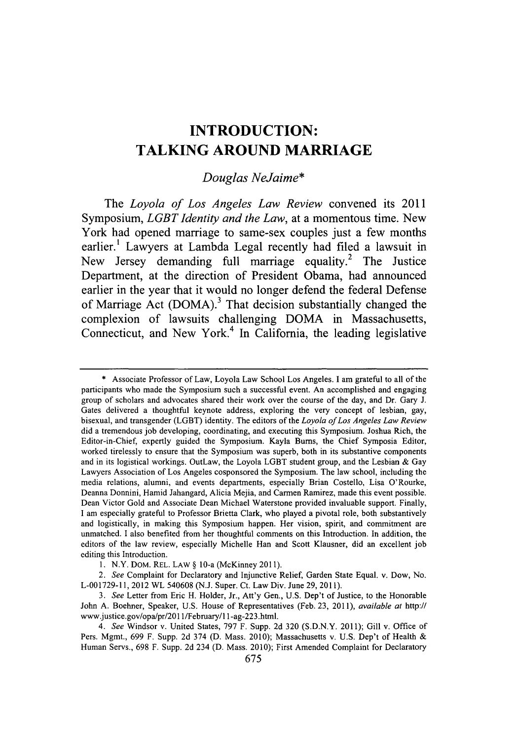# **INTRODUCTION: TALKING AROUND MARRIAGE**

## *Douglas NeJaime\**

*The Loyola of Los Angeles Law Review* convened its 2011 Symposium, *LGBT Identity and the Law,* at a momentous time. New York had opened marriage to same-sex couples just a few months earlier.' Lawyers at Lambda Legal recently had filed a lawsuit in New Jersey demanding full marriage equality.<sup>2</sup> The Justice Department, at the direction of President Obama, had announced earlier in the year that it would no longer defend the federal Defense of Marriage Act (DOMA).<sup>3</sup> That decision substantially changed the complexion of lawsuits challenging DOMA in Massachusetts, Connecticut, and New York.<sup>4</sup> In California, the leading legislative

**<sup>\*</sup>** Associate Professor of Law, Loyola Law School Los Angeles. **I** am grateful to all of the participants who made the Symposium such a successful event. An accomplished and engaging group of scholars and advocates shared their work over the course of the day, and Dr. Gary **J.** Gates delivered a thoughtful keynote address, exploring the very concept of lesbian, gay, bisexual, and transgender (LGBT) identity. The editors of the *Loyola of Los Angeles Law Review* did a tremendous **job** developing, coordinating, and executing this Symposium. Joshua Rich, the Editor-in-Chief, expertly guided the Symposium. Kayla Bums, the Chief Symposia Editor, worked tirelessly to ensure that the Symposium was superb, both in its substantive components and in its logistical workings. OutLaw, the Loyola LGBT student group, and the Lesbian **&** Gay Lawyers Association of Los Angeles cosponsored the Symposium. The law school, including the media relations, alumni, and events departments, especially Brian Costello, Lisa O'Rourke, Deanna Donnini, Hamid Jahangard, Alicia Mejia, and Carmen Ramirez, made this event possible. Dean Victor Gold and Associate Dean Michael Waterstone provided invaluable support. Finally, **I** am especially grateful to Professor Brietta Clark, who played a pivotal role, both substantively and logistically, in making this Symposium happen. Her vision, spirit, and commitment are unmatched. **I** also benefited from her thoughtful comments on this Introduction. In addition, the editors of the law review, especially Michelle Han and Scott Klausner, did an excellent **job** editing this Introduction.

**<sup>1.</sup>** N.Y. DOM. REL. LAW *§* 10-a (McKinney **2011).**

*<sup>2.</sup> See* Complaint for Declaratory and Injunctive Relief, Garden State Equal. v. Dow, No. **L-001729-l1,** 2012 WL **540608 (N.J.** Super. Ct. Law Div. June **29, 2011).**

*<sup>3.</sup> See* Letter from Eric H. Holder, Jr., Att'y Gen., **U.S.** Dep't of Justice, to the Honorable John **A.** Boehner, Speaker, **U.S.** House of Representatives (Feb. **23,** *2011), available at* http:// www.justice.gov/opa/pr/201 1/February/l 1 -ag-223.html.

*<sup>4.</sup> See* Windsor v. United States, **797** F. Supp. **2d 320 (S.D.N.Y. 2011);** Gill v. Office of Pers. Mgmt., **699** F. Supp. **2d** 374 **(D.** Mass. 2010); Massachusetts v. **U.S.** Dep't of Health **&** Human Servs., **698** F. Supp. **2d** 234 **(D.** Mass. 2010); First Amended Complaint for Declaratory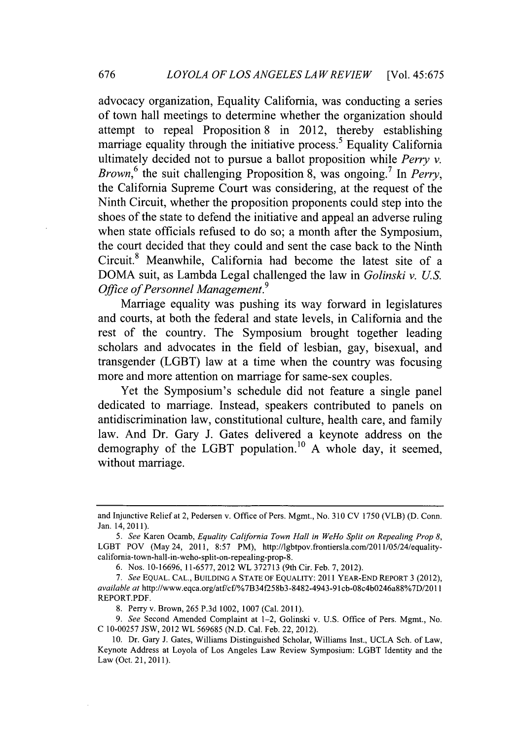advocacy organization, Equality California, was conducting a series of town hall meetings to determine whether the organization should attempt to repeal Proposition **8** in 2012, thereby establishing marriage equality through the initiative process.<sup>5</sup> Equality California ultimately decided not to pursue a ballot proposition while *Perry v. Brown,6* the suit challenging Proposition **8,** was ongoing. *In Perry,* the California Supreme Court was considering, at the request of the Ninth Circuit, whether the proposition proponents could step into the shoes of the state to defend the initiative and appeal an adverse ruling when state officials refused to do so; a month after the Symposium, the court decided that they could and sent the case back to the Ninth Circuit.<sup>8</sup> Meanwhile, California had become the latest site of a DOMA suit, as Lambda Legal challenged the law in *Golinski v. U.S. Office of Personnel Management.9*

Marriage equality was pushing its way forward in legislatures and courts, at both the federal and state levels, in California and the rest of the country. The Symposium brought together leading scholars and advocates in the field of lesbian, gay, bisexual, and transgender (LGBT) law at a time when the country was focusing more and more attention on marriage for same-sex couples.

Yet the Symposium's schedule did not feature a single panel dedicated to marriage. Instead, speakers contributed to panels on antidiscrimination law, constitutional culture, health care, and family law. And Dr. Gary J. Gates delivered a keynote address on the demography of the LGBT population.10 **A** whole day, it seemed, without marriage.

and Injunctive Relief at 2, Pedersen v. Office of Pers. Mgmt., No. **310 CV 1750** (VLB) **(D.** Conn. Jan. 14, **2011).**

*<sup>5.</sup> See* Karen Ocamb, *Equality California Town Hall in WeHo Split on Repealing Prop 8,* LGBT POV (May 24, 2011, **8:57** PM), http://lgbtpov.frontiersla.com/2011/05/24/equalitycalifornia-town-hall-in-weho-split-on-repealing-prop-8.

**<sup>6.</sup>** Nos. **10-16696, 11-6577,** 2012 WL **372713** (9th Cir. Feb. **7,** 2012).

*<sup>7.</sup> See* **EQUAL. CAL., BUILDING A STATE OF EQUALITY:** 2011 YEAR-END REPORT **3** (2012), *available at* http://www.eqca.org/atf/cf/%7B34f258b3-8482-4943-91cb-08c4b0246a88%7D/2011 REPORT.PDF.

**<sup>8.</sup>** Perry v. Brown, **265 P.3d** 1002, **1007** (Cal. **2011).**

*<sup>9.</sup> See* Second Amended Complaint at 1-2, Golinski v. **U.S.** Office of Pers. Mgmt., No. **C 10-00257 JSW,** 2012 WL **569685 (N.D.** Cal. Feb. 22, 2012).

**<sup>10.</sup>** Dr. Gary **J.** Gates, Williams Distinguished Scholar, Williams Inst., **UCLA** Sch. of Law, Keynote Address at Loyola of Los Angeles Law Review Symposium: LGBT Identity and the Law (Oct. 21, **2011).**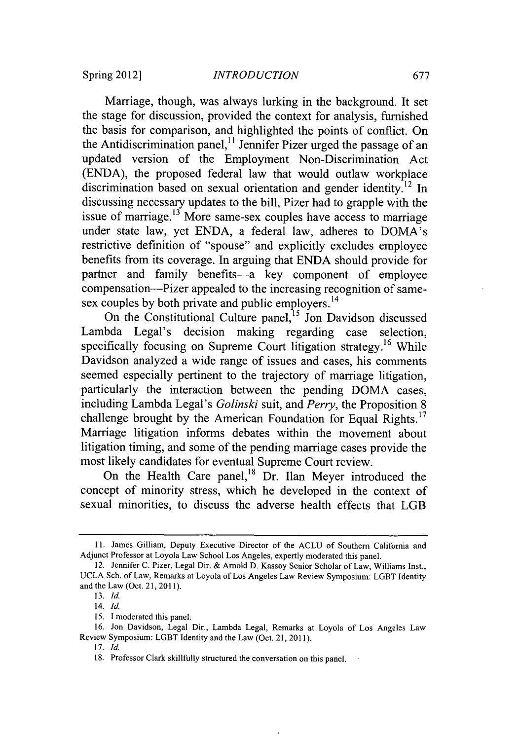Marriage, though, was always lurking in the background. It set the stage for discussion, provided the context for analysis, furnished the basis for comparison, and highlighted the points of conflict. On the Antidiscrimination panel, $\frac{1}{1}$  Jennifer Pizer urged the passage of an updated version of the Employment Non-Discrimination Act **(ENDA),** the proposed federal law that would outlaw workplace discrimination based on sexual orientation and gender identity.<sup>12</sup> In discussing necessary updates to the bill, Pizer had to grapple with the issue of marriage. $13$  More same-sex couples have access to marriage under state law, yet **ENDA,** a federal law, adheres to DOMA's restrictive definition of "spouse" and explicitly excludes employee benefits from its coverage. In arguing that **ENDA** should provide for partner and family benefits-a key component of employee compensation-Pizer appealed to the increasing recognition of samesex couples by both private and public employers.<sup>14</sup>

On the Constitutional Culture panel,<sup>15</sup> Jon Davidson discussed Lambda Legal's decision making regarding case selection, specifically focusing on Supreme Court litigation strategy.<sup>16</sup> While Davidson analyzed a wide range of issues and cases, his comments seemed especially pertinent to the trajectory of marriage litigation, particularly the interaction between the pending DOMA cases, including Lambda Legal's *Golinski* suit, and *Perry,* the Proposition **8** challenge brought **by** the American Foundation for Equal Rights.17 Marriage litigation informs debates within the movement about litigation timing, and some of the pending marriage cases provide the most likely candidates for eventual Supreme Court review.

On the Health Care panel,<sup>18</sup> Dr. Ilan Meyer introduced the concept of minority stress, which he developed in the context of sexual minorities, to discuss the adverse health effects that LGB

**<sup>11.</sup>** James Gilliam, Deputy Executive Director of the **ACLU** of Southern California and Adjunct Professor at Loyola Law School Los Angeles, expertly moderated this panel.

<sup>12.</sup> Jennifer **C.** Pizer, Legal Dir. **&** Arnold **D.** Kassoy Senior Scholar of Law, Williams Inst., **UCLA** Sch. of Law, Remarks at Loyola of Los Angeles Law Review Symposium: LGBT Identity and the Law (Oct. 21, **2011).**

*<sup>13.</sup> Id.*

*<sup>14.</sup> Id.*

*<sup>15.</sup>* I moderated this panel.

**<sup>16.</sup>** Jon Davidson, Legal Dir., Lambda Legal, Remarks at Loyola of Los Angeles Law Review Symposium: LGBT Identity and the Law (Oct. 21, **2011).**

*<sup>17.</sup> Id.*

**<sup>18.</sup>** Professor Clark skillfully structured the conversation on this panel.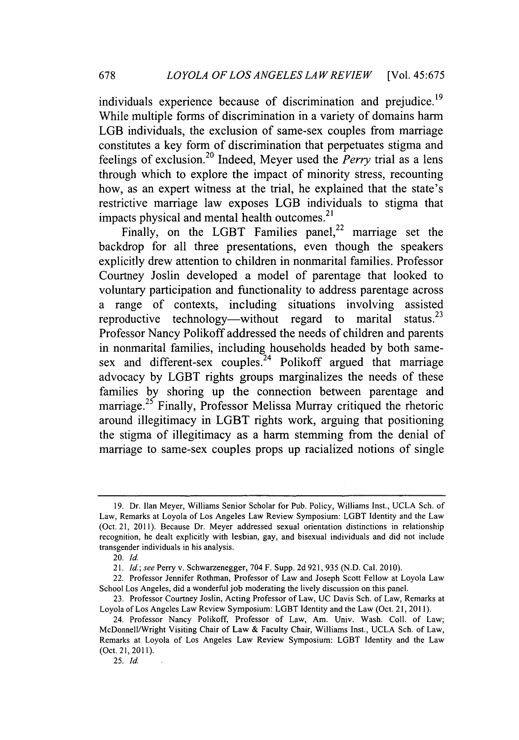individuals experience because of discrimination and prejudice.<sup>19</sup> While multiple forms of discrimination in a variety of domains harm LGB individuals, the exclusion of same-sex couples from marriage constitutes a key form of discrimination that perpetuates stigma and feelings of exclusion. 20 Indeed, Meyer used the *Perry* trial as a lens through which to explore the impact of minority stress, recounting how, as an expert witness at the trial, he explained that the state's restrictive marriage law exposes LGB individuals to stigma that impacts physical and mental health outcomes.<sup>21</sup>

Finally, on the LGBT Families panel,<sup>22</sup> marriage set the backdrop for all three presentations, even though the speakers explicitly drew attention to children in nonmarital families. Professor Courtney Joslin developed a model of parentage that looked to voluntary participation and functionality to address parentage across a range of contexts, including situations involving assisted reproductive technology—without regard to marital status.<sup>23</sup> Professor Nancy Polikoff addressed the needs of children and parents in nonmarital families, including households headed **by** both samesex and different-sex couples.<sup>24</sup> Polikoff argued that marriage advocacy **by** LGBT rights groups marginalizes the needs of these families **by** shoring up the connection between parentage and marriage. **25** Finally, Professor Melissa Murray critiqued the rhetoric around illegitimacy in LGBT rights work, arguing that positioning the stigma of illegitimacy as a harm stemming from the denial of marriage to same-sex couples props up racialized notions of single

*25. Id.*

**<sup>19.</sup>** Dr. Ilan Meyer, Williams Senior Scholar for Pub. Policy, Williams Inst., **UCLA** Sch. of Law, Remarks at Loyola of Los Angeles Law Review Symposium: LGBT Identity and the Law (Oct. 21, **2011).** Because Dr. Meyer addressed sexual orientation distinctions in relationship recognition, he dealt explicitly with lesbian, gay, and bisexual individuals and did not include transgender individuals in his analysis.

*<sup>20.</sup> Id.*

*<sup>21.</sup> Id.;* see Perry v. Schwarzenegger, 704 F. Supp. **2d 921, 935 (N.D.** Cal. 2010).

<sup>22.</sup> Professor Jennifer Rothman, Professor of Law and Joseph Scott Fellow at Loyola Law School Los Angeles, did a wonderful **job** moderating the lively discussion on this panel.

**<sup>23.</sup>** Professor Courtney Joslin, Acting Professor of Law, **UC** Davis Sch. of Law, Remarks at Loyola of Los Angeles Law Review Symposium: LGBT Identity and the Law (Oct. 21, **2011).**

<sup>24.</sup> Professor Nancy Polikoff, Professor of Law, Am. Univ. Wash. Coll. of Law; McDonnell/Wright Visiting Chair of Law **&** Faculty Chair, Williams Inst., **UCLA** Sch. of Law, Remarks at Loyola of Los Angeles Law Review Symposium: LGBT Identity and the Law (Oct. 21, **2011).**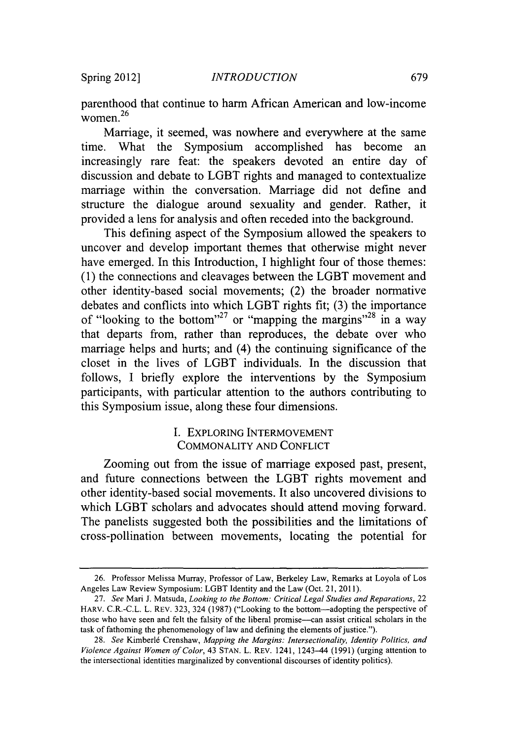parenthood that continue to harm African American and low-income women. <sup>26</sup>

Marriage, it seemed, was nowhere and everywhere at the same time. What the Symposium accomplished has become an increasingly rare feat: the speakers devoted an entire day of discussion and debate to LGBT rights and managed to contextualize marriage within the conversation. Marriage did not define and structure the dialogue around sexuality and gender. Rather, it provided a lens for analysis and often receded into the background.

This defining aspect of the Symposium allowed the speakers to uncover and develop important themes that otherwise might never have emerged. In this Introduction, **I** highlight four of those themes: **(1)** the connections and cleavages between the LGBT movement and other identity-based social movements; (2) the broader normative debates and conflicts into which LGBT rights fit; **(3)** the importance of "looking to the bottom"<sup>27</sup> or "mapping the margins"<sup>28</sup> in a way that departs from, rather than reproduces, the debate over who marriage helps and hurts; and (4) the continuing significance of the closet in the lives of LGBT individuals. In the discussion that follows, **I** briefly explore the interventions **by** the Symposium participants, with particular attention to the authors contributing to this Symposium issue, along these four dimensions.

#### **I.** EXPLORING INTERMOVEMENT COMMONALITY **AND CONFLICT**

Zooming out from the issue of marriage exposed past, present, and future connections between the LGBT rights movement and other identity-based social movements. It also uncovered divisions to which LGBT scholars and advocates should attend moving forward. The panelists suggested both the possibilities and the limitations of cross-pollination between movements, locating the potential for

**<sup>26.</sup>** Professor Melissa Murray, Professor of Law, Berkeley Law, Remarks at Loyola of Los Angeles Law Review Symposium: LGBT Identity and the Law (Oct. 21, **2011).**

**<sup>27.</sup>** *See* Mari **J.** Matsuda, *Looking to the Bottom: Critical Legal Studies and Reparations, 22* HARV. C.R.-C.L. L. REV. **323,** 324 **(1987)** ("Looking to the bottom-adopting the perspective of those who have seen and felt the falsity of the liberal promise—can assist critical scholars in the task of fathoming the phenomenology of law and defining the elements of justice.").

*<sup>28.</sup> See* Kimberl6 Crenshaw, *Mapping the Margins: Intersectionality, Identity Politics, and Violence Against Women of Color,* 43 **STAN.** L. REV. 1241, 1243-44 **(1991)** (urging attention to the intersectional identities marginalized **by** conventional discourses of identity politics).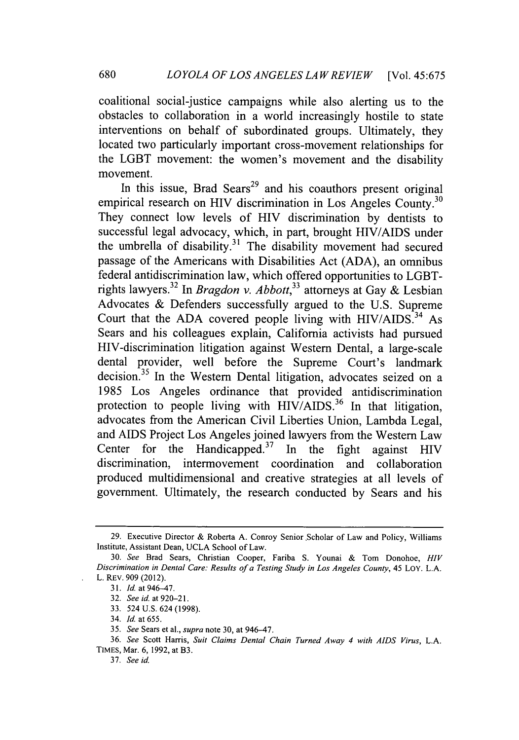coalitional social-justice campaigns while also alerting us to the obstacles to collaboration in a world increasingly hostile to state interventions on behalf of subordinated groups. Ultimately, they located two particularly important cross-movement relationships for the LGBT movement: the women's movement and the disability movement.

In this issue, Brad Sears<sup>29</sup> and his coauthors present original empirical research on HIV discrimination in Los Angeles County.<sup>30</sup> They connect low levels of HIV discrimination **by** dentists to successful legal advocacy, which, in part, brought **HIV/AIDS** under the umbrella of disability. 31 The disability movement had secured passage of the Americans with Disabilities Act **(ADA),** an omnibus federal antidiscrimination law, which offered opportunities to LGBTrights lawyers.32 *In Bragdon v. Abbott,33* attorneys at Gay **&** Lesbian Advocates **&** Defenders successfully argued to the **U.S.** Supreme Court that the **ADA** covered people living with **HIV/AIDS. <sup>34</sup>**As Sears and his colleagues explain, California activists had pursued HIV-discrimination litigation against Western Dental, a large-scale dental provider, well before the Supreme Court's landmark decision.<sup>35</sup> In the Western Dental litigation, advocates seized on a *1985* Los Angeles ordinance that provided antidiscrimination protection to people living with  $HIV/AIDS<sup>36</sup>$  In that litigation, advocates from the American Civil Liberties Union, Lambda Legal, and **AIDS** Project Los Angeles joined lawyers from the Western Law Center for the Handicapped. $37$  In the fight against HIV discrimination, intermovement coordination and collaboration produced multidimensional and creative strategies at all levels of government. Ultimately, the research conducted **by** Sears and his

**<sup>29.</sup>** Executive Director **&** Roberta **A.** Conroy Senior Scholar of Law and Policy, Williams Institute, Assistant Dean, **UCLA** School of Law.

*<sup>30.</sup>* See Brad Sears, Christian Cooper, Fariba **S.** Younai **&** Tom Donohoe, *HIV* Discrimination in Dental Care: Results of a Testing Study in Los Angeles County, 45 **LOY. L.A.** L. REv. **909** (2012).

**<sup>31.</sup>** *Id* at 946-47.

**<sup>32.</sup>** See id. at **920-21.**

**<sup>33.</sup>** 524 **U.S.** 624 **(1998).**

<sup>34.</sup> *Id* at **655.**

**<sup>35.</sup>** See Sears et al., **supra** note **30,** at 946-47.

**<sup>36.</sup>** See Scott Harris, Suit Claims Dental Chain Turned Away 4 with AIDS Virus, *L.A.* TIMES, Mar. **6, 1992,** at B3.

**<sup>37.</sup>** See id.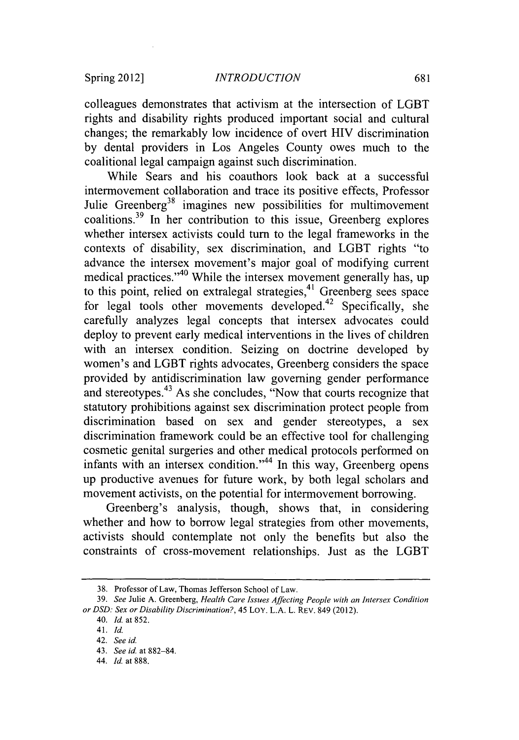colleagues demonstrates that activism at the intersection of LGBT rights and disability rights produced important social and cultural changes; the remarkably low incidence of overt HIV discrimination **by** dental providers in Los Angeles County owes much to the coalitional legal campaign against such discrimination.

While Sears and his coauthors look back at a successful intermovement collaboration and trace its positive effects, Professor Julie Greenberg<sup>38</sup> imagines new possibilities for multimovement coalitions.39 In her contribution to this issue, Greenberg explores whether intersex activists could turn to the legal frameworks in the contexts of disability, sex discrimination, and LGBT rights "to advance the intersex movement's major goal of modifying current medical practices."<sup>40</sup> While the intersex movement generally has, up to this point, relied on extralegal strategies,<sup>41</sup> Greenberg sees space for legal tools other movements developed.<sup>42</sup> Specifically, she carefully analyzes legal concepts that intersex advocates could deploy to prevent early medical interventions in the lives of children with an intersex condition. Seizing on doctrine developed **by** women's and LGBT rights advocates, Greenberg considers the space provided **by** antidiscrimination law governing gender performance and stereotypes.<sup>43</sup> As she concludes, "Now that courts recognize that statutory prohibitions against sex discrimination protect people from discrimination based on sex and gender stereotypes, a sex discrimination framework could be an effective tool for challenging cosmetic genital surgeries and other medical protocols performed on infants with an intersex condition."<sup>44</sup> In this way, Greenberg opens up productive avenues for future work, **by** both legal scholars and movement activists, on the potential for intermovement borrowing.

Greenberg's analysis, though, shows that, in considering whether and how to borrow legal strategies from other movements, activists should contemplate not only the benefits but also the constraints of cross-movement relationships. Just as the LGBT

**44.** *Id.* at **888.**

**<sup>38.</sup>** Professor of Law, Thomas Jefferson School of Law.

*<sup>39.</sup>* See Julie **A.** Greenberg, *Health Care Issues Affecting People with an Intersex Condition* or **DSD:** Sex or Disability Discrimination?, **45 LoY. L.A. L. REv.** 849 (2012).

<sup>40.</sup> *Id.* at **852.**

*<sup>41.</sup> Id.*

<sup>42.</sup> *See id.*

**<sup>43.</sup>** *See id.* at **882-84.**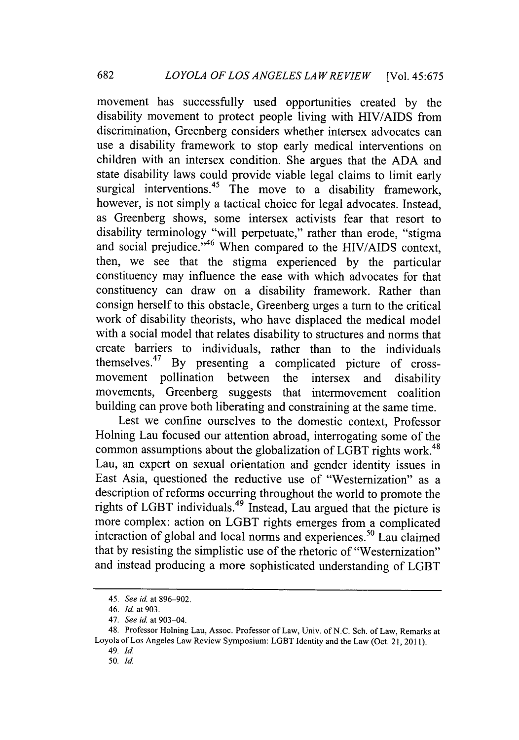movement has successfully used opportunities created **by** the disability movement to protect people living with **HIV/AIDS** from discrimination, Greenberg considers whether intersex advocates can use a disability framework to stop early medical interventions on children with an intersex condition. She argues that the **ADA** and state disability laws could provide viable legal claims to limit early surgical interventions.<sup>45</sup> The move to a disability framework, however, is not simply a tactical choice for legal advocates. Instead, as Greenberg shows, some intersex activists fear that resort to disability terminology "will perpetuate," rather than erode, "stigma and social prejudice." 46 When compared to the **HIV/AIDS** context, then, we see that the stigma experienced **by** the particular constituency may influence the ease with which advocates for that constituency can draw on a disability framework. Rather than consign herself to this obstacle, Greenberg urges a turn to the critical work of disability theorists, who have displaced the medical model with a social model that relates disability to structures and norms that create barriers to individuals, rather than to the individuals themselves.<sup>47</sup> By presenting a complicated picture of cross-<br>movement pollination between the intersex and disability movement pollination between the intersex and disability movements, Greenberg suggests that intermovement coalition building can prove both liberating and constraining at the same time.

Lest we confine ourselves to the domestic context, Professor Holning Lau focused our attention abroad, interrogating some of the common assumptions about the globalization of LGBT rights work.<sup>48</sup> Lau, an expert on sexual orientation and gender identity issues in East Asia, questioned the reductive use of "Westernization" as a description of reforms occurring throughout the world to promote the rights of LGBT individuals.<sup>49</sup> Instead, Lau argued that the picture is more complex: action on LGBT rights emerges from a complicated interaction of global and local norms and experiences.<sup>50</sup> Lau claimed that **by** resisting the simplistic use of the rhetoric of "Westernization" and instead producing a more sophisticated understanding of LGBT

*<sup>45.</sup> See id. at* **896-902.**

*<sup>46.</sup> Id at 903.*

*<sup>47.</sup> See id at* 903-04.

<sup>48.</sup> Professor Holning Lau, Assoc. Professor of Law, Univ. of **N.C.** Sch. of Law, Remarks at Loyola of Los Angeles Law Review Symposium: LGBT Identity and the Law (Oct. 21, **2011).**

**<sup>49.</sup>** *Id.*

*<sup>50.</sup> Id.*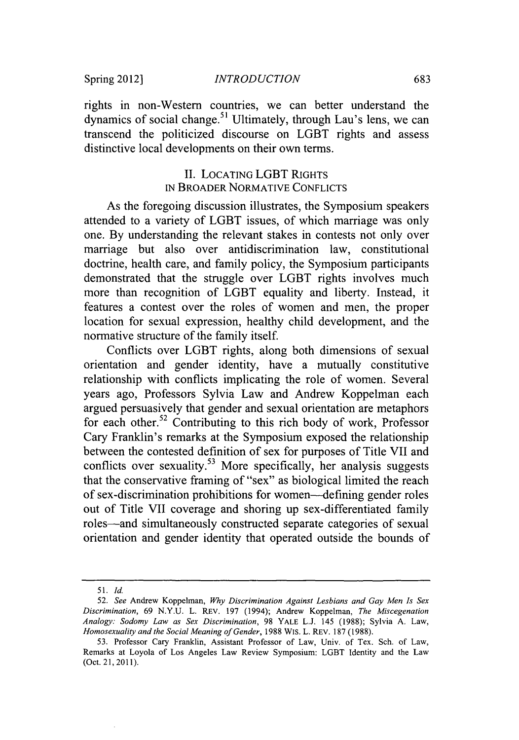rights in non-Western countries, we can better understand the dynamics of social change.<sup>51</sup> Ultimately, through Lau's lens, we can transcend the politicized discourse on LGBT rights and assess distinctive local developments on their own terms.

### **II.** LOCATING LGBT **RIGHTS IN** BROADER NORMATIVE **CONFLICTS**

As the foregoing discussion illustrates, the Symposium speakers attended to a variety of LGBT issues, of which marriage was only one. **By** understanding the relevant stakes in contests not only over marriage but also over antidiscrimination law, constitutional doctrine, health care, and family policy, the Symposium participants demonstrated that the struggle over LGBT rights involves much more than recognition of LGBT equality and liberty. Instead, it features a contest over the roles of women and men, the proper location for sexual expression, healthy child development, and the normative structure of the family itself.

Conflicts over LGBT rights, along both dimensions of sexual orientation and gender identity, have a mutually constitutive relationship with conflicts implicating the role of women. Several years ago, Professors Sylvia Law and Andrew Koppelman each argued persuasively that gender and sexual orientation are metaphors for each other.<sup>52</sup> Contributing to this rich body of work, Professor Cary Franklin's remarks at the Symposium exposed the relationship between the contested definition of sex for purposes of Title VII and conflicts over sexuality.<sup>53</sup> More specifically, her analysis suggests that the conservative framing of "sex" as biological limited the reach of sex-discrimination prohibitions for women-defining gender roles out of Title VII coverage and shoring up sex-differentiated family roles-and simultaneously constructed separate categories of sexual orientation and gender identity that operated outside the bounds of

*<sup>51.</sup> Id.*

*<sup>52.</sup> See* Andrew Koppelman, *Why Discrimination Against Lesbians and Gay Men Is Sex Discrimination,* **69 N.Y.U.** L. REv. **197** (1994); Andrew Koppelman, *The Miscegenation Analogy: Sodomy Law as Sex Discrimination,* **98** YALE **L.J.** 145 **(1988);** Sylvia **A.** Law, *Homosexuality and the Social Meaning of Gender,* **1988** Wis. L. REv. **187 (1988).**

**<sup>53.</sup>** Professor Cary Franklin, Assistant Professor of Law, Univ. of Tex. Sch. **of** Law, Remarks at Loyola of Los Angeles Law Review Symposium: LGBT Identity and the Law (Oct. 21, **2011).**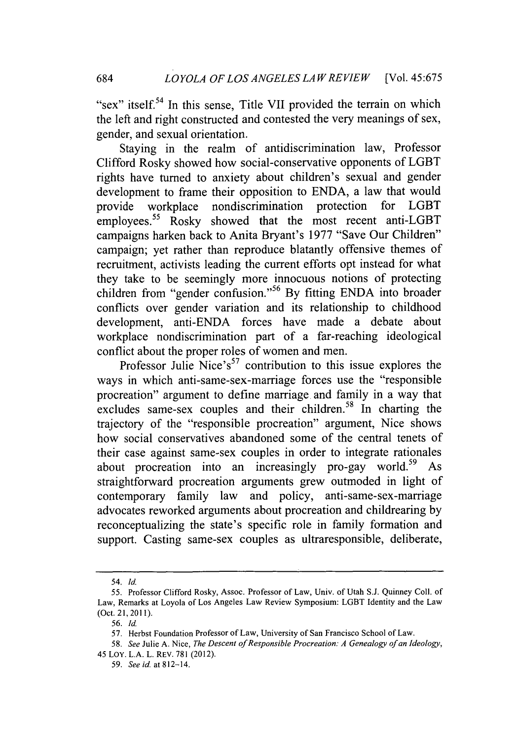"sex" itself.<sup>54</sup> In this sense, Title VII provided the terrain on which the left and right constructed and contested the very meanings of sex, gender, and sexual orientation.

Staying in the realm of antidiscrimination law, Professor Clifford Rosky showed how social-conservative opponents of LGBT rights have turned to anxiety about children's sexual and gender development to frame their opposition to **ENDA,** a law that would provide workplace nondiscrimination protection for LGBT employees.<sup>55</sup> Rosky showed that the most recent anti-LGBT campaigns harken back to Anita Bryant's **1977** "Save Our Children" campaign; yet rather than reproduce blatantly offensive themes of recruitment, activists leading the current efforts opt instead for what they take to be seemingly more innocuous notions of protecting children from "gender confusion."<sup>56</sup> By fitting **ENDA** into broader conflicts over gender variation and its relationship to childhood development, anti-ENDA forces have made a debate about workplace nondiscrimination part of a far-reaching ideological conflict about the proper roles of women and men.

Professor Julie Nice's<sup>57</sup> contribution to this issue explores the ways in which anti-same-sex-marriage forces use the "responsible procreation" argument to define marriage and family in a way that excludes same-sex couples and their children.<sup>58</sup> In charting the trajectory of the "responsible procreation" argument, Nice shows how social conservatives abandoned some of the central tenets of their case against same-sex couples in order to integrate rationales about procreation into an increasingly pro-gay world.<sup>59</sup> As straightforward procreation arguments grew outmoded in light of contemporary family law and policy, anti-same-sex-marriage advocates reworked arguments about procreation and childrearing **by** reconceptualizing the state's specific role in family formation and support. Casting same-sex couples as ultraresponsible, deliberate,

684

*<sup>54.</sup> Id.*

*<sup>55.</sup>* Professor Clifford Rosky, Assoc. Professor of Law, Univ. of Utah **S.J.** Quinney Coll. of Law, Remarks at Loyola of Los Angeles Law Review Symposium: LGBT Identity and the Law (Oct. 21, **2011).**

*<sup>56.</sup> Id.*

**<sup>57.</sup>** Herbst Foundation Professor of Law, University of San Francisco School of Law.

*<sup>58.</sup> See* Julie **A.** Nice, *The Descent of Responsible Procreation: A Genealogy of an Ideology,* 45 LOY. **L.A.** L. REV. **781** (2012).

*<sup>59.</sup> See id* at 812-14.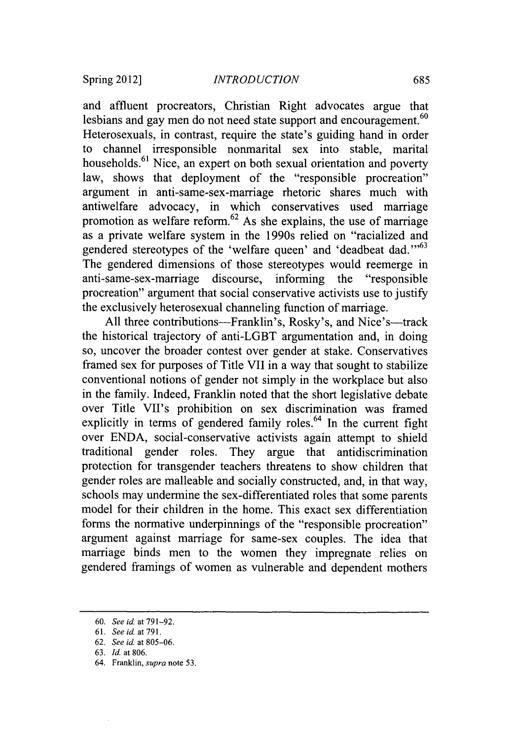and affluent procreators, Christian Right advocates argue that lesbians and gay men do not need state support and encouragement.<sup>60</sup> Heterosexuals, in contrast, require the state's guiding hand in order to channel irresponsible nonmarital sex into stable, marital households.<sup>61</sup> Nice, an expert on both sexual orientation and poverty law, shows that deployment of the "responsible procreation" argument in anti-same-sex-marriage rhetoric shares much with antiwelfare advocacy, in which conservatives used marriage promotion as welfare reform.<sup>62</sup> As she explains, the use of marriage as a private welfare system in the 1990s relied on "racialized and gendered stereotypes of the 'welfare queen' and 'deadbeat dad."<sup>63</sup> The gendered dimensions of those stereotypes would reemerge in anti-same-sex-marriage discourse, informing the "responsible procreation" argument that social conservative activists use to justify the exclusively heterosexual channeling function of marriage.

All three contributions-Franklin's, Rosky's, and Nice's-track the historical trajectory of anti-LGBT argumentation and, in doing so, uncover the broader contest over gender at stake. Conservatives framed sex for purposes of Title VII in a way that sought to stabilize conventional notions of gender not simply in the workplace but also in the family. Indeed, Franklin noted that the short legislative debate over Title VII's prohibition on sex discrimination was framed explicitly in terms of gendered family roles. $64$  In the current fight over **ENDA,** social-conservative activists again attempt to shield traditional gender roles. They argue that antidiscrimination protection for transgender teachers threatens to show children that gender roles are malleable and socially constructed, and, in that way, schools may undermine the sex-differentiated roles that some parents model for their children in the home. This exact sex differentiation forms the normative underpinnings of the "responsible procreation" argument against marriage for same-sex couples. The idea that marriage binds men to the women they impregnate relies on gendered framings of women as vulnerable and dependent mothers

**<sup>60.</sup>** *See id. at* **791-92.**

**<sup>61.</sup>** *See id. at* **791.**

**<sup>62.</sup>** *See id. at 805-06.*

**<sup>63.</sup>** *Id. at* **806.**

<sup>64.</sup> Franklin, *supra* note **53.**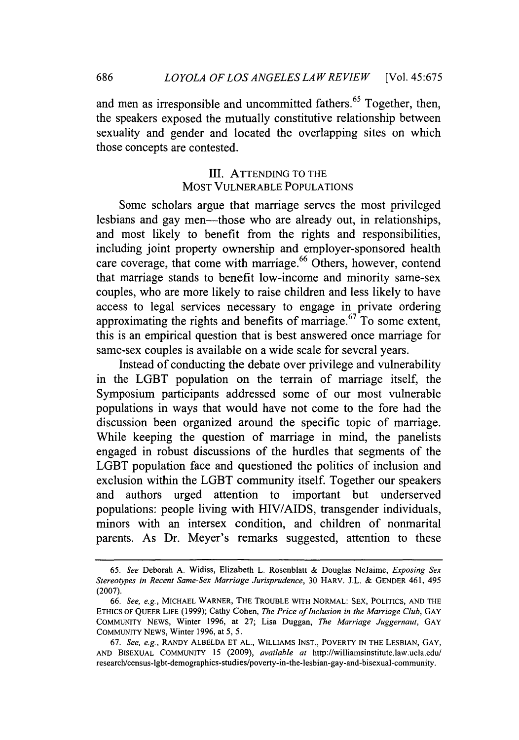and men as irresponsible and uncommitted fathers. 65 Together, then, the speakers exposed the mutually constitutive relationship between sexuality and gender and located the overlapping sites on which those concepts are contested.

## III. **ATTENDING** TO THE MOST **VULNERABLE POPULATIONS**

Some scholars argue that marriage serves the most privileged lesbians and gay men-those who are already out, in relationships, and most likely to benefit from the rights and responsibilities, including joint property ownership and employer-sponsored health care coverage, that come with marriage.<sup>66</sup> Others, however, contend that marriage stands to benefit low-income and minority same-sex couples, who are more likely to raise children and less likely to have access to legal services necessary to engage in private ordering approximating the rights and benefits of marriage. $67$  To some extent, this is an empirical question that is best answered once marriage for same-sex couples is available on a wide scale for several years.

Instead of conducting the debate over privilege and vulnerability in the LGBT population on the terrain of marriage itself, the Symposium participants addressed some of our most vulnerable populations in ways that would have not come to the fore had the discussion been organized around the specific topic of marriage. While keeping the question of marriage in mind, the panelists engaged in robust discussions of the hurdles that segments of the LGBT population face and questioned the politics of inclusion and exclusion within the LGBT community itself. Together our speakers and authors urged attention to important but underserved populations: people living with HIV/AIDS, transgender individuals, minors with an intersex condition, and children of nonmarital parents. As Dr. Meyer's remarks suggested, attention to these

**686**

*<sup>65.</sup> See* Deborah **A.** Widiss, Elizabeth L. Rosenblatt **&** Douglas NeJaime, *Exposing Sex Stereotypes in Recent Same-Sex Marriage Jurisprudence,* **30 HARV. J.L. & GENDER** 461, *495* **(2007).**

*<sup>66.</sup> See, e.g.,* **MICHAEL WARNER, THE TROUBLE WITH NORMAL: SEX, POLITICS, AND THE ETHICS** OF **QUEER** LIFE **(1999);** Cathy Cohen, *The Price of Inclusion in the Marriage Club,* **GAY** COMMUNITY **NEWS,** Winter **1996,** at **27;** Lisa Duggan, *The Marriage Juggernaut, GAY* **COMMUNITY NEWS,** Winter **1996,** at *5, 5.*

**<sup>67.</sup>** *See, e.g.,* RANDY **ALBELDA ET AL.,** WILLIAMS **INST.,** POVERTY **IN THE LESBIAN, GAY, AND BISEXUAL** COMMUNITY **15 (2009),** *available at* http://williamsinstitute.1aw.ucla.edu/ research/census-Igbt-demographics-studies/poverty-in-the-lesbian-gay-and-bisexual-community.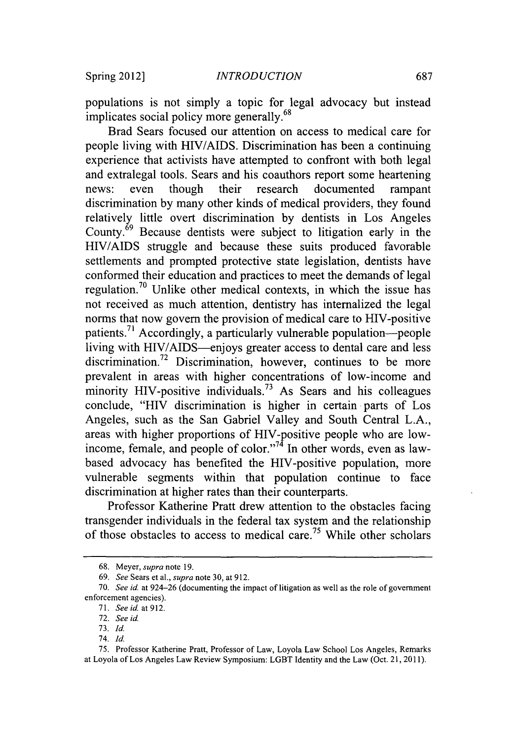populations is not simply a topic for legal advocacy but instead implicates social policy more generally.<sup>68</sup>

Brad Sears focused our attention on access to medical care for people living with HIV/AIDS. Discrimination has been a continuing experience that activists have attempted to confront with both legal and extralegal tools. Sears and his coauthors report some heartening news: even though their research documented rampant discrimination **by** many other kinds of medical providers, they found relatively little overt discrimination **by** dentists in Los Angeles County.69 Because dentists were subject to litigation early in the **HIV/AIDS** struggle and because these suits produced favorable settlements and prompted protective state legislation, dentists have conformed their education and practices to meet the demands of legal regulation. 70 Unlike other medical contexts, in which the issue has not received as much attention, dentistry has internalized the legal norms that now govern the provision of medical care to HIV-positive patients.<sup> $71$ </sup> Accordingly, a particularly vulnerable population--people living with HIV/AIDS-enjoys greater access to dental care and less discrimination.<sup>72</sup> Discrimination, however, continues to be more prevalent in areas with higher concentrations of low-income and minority HIV-positive individuals.<sup>73</sup> As Sears and his colleagues conclude, "HIV discrimination is higher in certain parts of Los Angeles, such as the San Gabriel Valley and South Central **L.A.,** areas with higher proportions of HIV-positive people who are lowincome, female, and people of color."<sup>74</sup> In other words, even as lawbased advocacy has benefited the HIV-positive population, more vulnerable segments within that population continue to face discrimination at higher rates than their counterparts.

Professor Katherine Pratt drew attention to the obstacles facing transgender individuals in the federal tax system and the relationship of those obstacles to access to medical care.75 While other scholars

**<sup>68.</sup>** Meyer, supra note **19.**

**<sup>69.</sup>** *See* Sears et al., *supra* note **30,** at **912.**

*<sup>70.</sup>* See id. at 924-26 (documenting the impact of litigation as well as the role of government enforcement agencies).

**<sup>71.</sup>** *See* id at **912.**

**<sup>72.</sup>** *See* id

**<sup>73.</sup>** Id.

<sup>74.</sup> *Id*

**<sup>75.</sup>** Professor Katherine Pratt, Professor of Law, Loyola Law School Los Angeles, Remarks at Loyola of Los Angeles Law Review Symposium: LGBT Identity and the Law (Oct. 21, **2011).**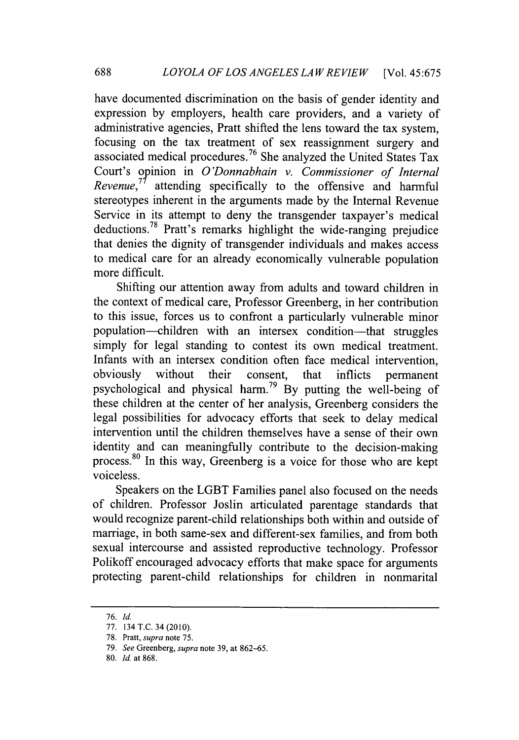have documented discrimination on the basis of gender identity and expression **by** employers, health care providers, and a variety of administrative agencies, Pratt shifted the lens toward the tax system, focusing on the tax treatment of sex reassignment surgery and associated medical procedures.<sup>76</sup> She analyzed the United States Tax Court's opinion in *O'Donnabhain v. Commissioner of Internal Revenue*, $^{7}$  attending specifically to the offensive and harmful stereotypes inherent in the arguments made **by** the Internal Revenue Service in its attempt to deny the transgender taxpayer's medical deductions.78 Pratt's remarks highlight the wide-ranging prejudice that denies the dignity of transgender individuals and makes access to medical care for an already economically vulnerable population more difficult.

Shifting our attention away from adults and toward children in the context of medical care, Professor Greenberg, in her contribution to this issue, forces us to confront a particularly vulnerable minor population-children with an intersex condition-that struggles simply for legal standing to contest its own medical treatment. Infants with an intersex condition often face medical intervention, obviously without their consent, that inflicts permanent obviously without their consent, that inflicts permanent psychological and physical **harm.79 By** putting the well-being of these children at the center of her analysis, Greenberg considers the legal possibilities for advocacy efforts that seek to delay medical intervention until the children themselves have a sense of their own identity and can meaningfully contribute to the decision-making process.<sup>80</sup> In this way, Greenberg is a voice for those who are kept voiceless.

Speakers on the LGBT Families panel also focused on the needs of children. Professor Joslin articulated parentage standards that would recognize parent-child relationships both within and outside of marriage, in both same-sex and different-sex families, and from both sexual intercourse and assisted reproductive technology. Professor Polikoff encouraged advocacy efforts that make space for arguments protecting parent-child relationships for children in nonmarital

**<sup>76.</sup>** *Id.*

**<sup>77.</sup>** 134 T.C. 34 (2010).

**<sup>78.</sup>** Pratt, supra note **75.**

**<sup>79.</sup>** *See Greenberg, supra* note **39,** at **862-65.**

**<sup>80.</sup>** *Id.* at **868.**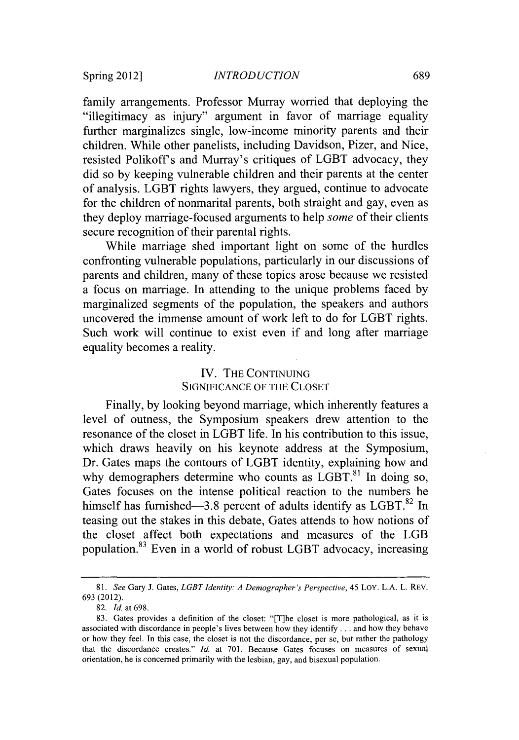family arrangements. Professor Murray worried that deploying the "illegitimacy as injury" argument in favor of marriage equality further marginalizes single, low-income minority parents and their children. While other panelists, including Davidson, Pizer, and Nice, resisted Polikoff's and Murray's critiques of LGBT advocacy, they did so **by** keeping vulnerable children and their parents at the center of analysis. LGBT rights lawyers, they argued, continue to advocate for the children of nonmarital parents, both straight and gay, even as they deploy marriage-focused arguments to help some of their clients secure recognition of their parental rights.

While marriage shed important light on some of the hurdles confronting vulnerable populations, particularly in our discussions of parents and children, many of these topics arose because we resisted a focus on marriage. In attending to the unique problems faced **by** marginalized segments of the population, the speakers and authors uncovered the immense amount of work left to do for LGBT rights. Such work will continue to exist even if and long after marriage equality becomes a reality.

## IV. THE **CONTINUING SIGNIFICANCE** OF THE **CLOSET**

Finally, **by** looking beyond marriage, which inherently features a level of outness, the Symposium speakers drew attention to the resonance of the closet in LGBT life. In his contribution to this issue, which draws heavily on his keynote address at the Symposium, Dr. Gates maps the contours of LGBT identity, explaining how and why demographers determine who counts as  $LGBT$ .<sup>81</sup> In doing so, Gates focuses on the intense political reaction to the numbers he himself has furnished-3.8 percent of adults identify as LGBT.<sup>82</sup> In teasing out the stakes in this debate, Gates attends to how notions of the closet affect both expectations and measures of the LGB population. 83 Even in a world of robust LGBT advocacy, increasing

*<sup>81.</sup> See* Gary **J.** Gates, *LGBT Identity: A Demographer's Perspective,* 45 LOY. **L.A.** L. REV. **693 (2012).**

**<sup>82.</sup>** *Id. at* **698.**

**<sup>83.</sup>** Gates provides a definition of the closet: "[T]he closet is more pathological, as it is associated with discordance in people's lives between how they identify **. . .**and how they behave or how they **feel.** In this case, the closet is not the discordance, per se, but rather the pathology that the discordance creates." *Id* at **701.** Because Gates focuses on measures of sexual orientation, he is concerned primarily with the lesbian, gay, and bisexual population.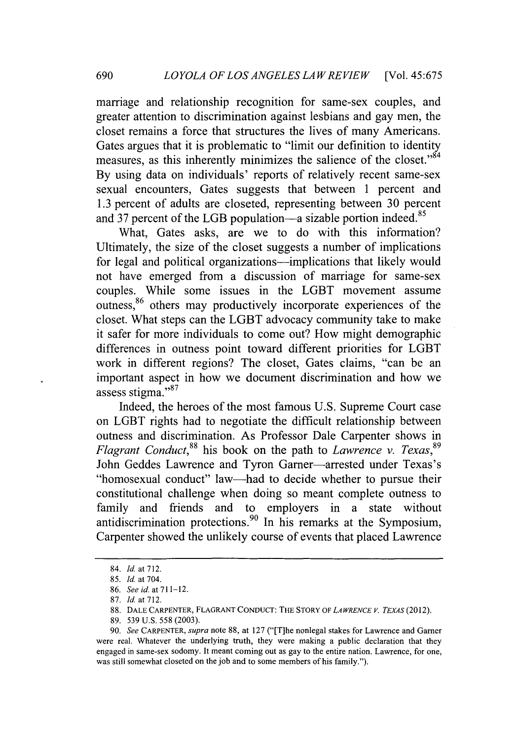marriage and relationship recognition for same-sex couples, and greater attention to discrimination against lesbians and gay men, the closet remains a force that structures the lives of many Americans. Gates argues that it is problematic to "limit our definition to identity measures, as this inherently minimizes the salience of the closet."<sup>84</sup> **By** using data on individuals' reports of relatively recent same-sex sexual encounters, Gates suggests that between 1 percent and **1.3** percent of adults are closeted, representing between **30** percent and 37 percent of the LGB population—a sizable portion indeed.<sup>85</sup>

What, Gates asks, are we to do with this information? Ultimately, the size of the closet suggests a number of implications for legal and political organizations-implications that likely would not have emerged from a discussion of marriage for same-sex couples. While some issues in the LGBT movement assume outness,86 others may productively incorporate experiences of the closet. What steps can the LGBT advocacy community take to make it safer for more individuals to come out? How might demographic differences in outness point toward different priorities for LGBT work in different regions? The closet, Gates claims, "can be an important aspect in how we document discrimination and how we assess stigma."<sup>87</sup>

Indeed, the heroes of the most famous **U.S.** Supreme Court case on LGBT rights had to negotiate the difficult relationship between outness and discrimination. As Professor Dale Carpenter shows in *Flagrant Conduct*,<sup>88</sup> his book on the path to *Lawrence v. Texas*,<sup>89</sup> John Geddes Lawrence and Tyron Garner-arrested under Texas's "homosexual conduct" law-had to decide whether to pursue their constitutional challenge when doing so meant complete outness to family and friends and to employers in a state without antidiscrimination protections.<sup>90</sup> In his remarks at the Symposium, Carpenter showed the unlikely course of events that placed Lawrence

<sup>84.</sup> *Id at 712.*

**<sup>85.</sup>** *Id. at* 704.

**<sup>86.</sup>** *See id.* at **711-12.**

**<sup>87.</sup>** *Id* at **712.**

**<sup>88.</sup> DALE** CARPENTER, **FLAGRANT CONDUCT:** THE STORY OF *LA WRENCE V. TEXAS (2012).*

**<sup>89. 539</sup> U.S.** *558* **(2003).**

**<sup>90.</sup>** *See CARPENTER, supra* note **88,** at **127** ("[T]he nonlegal stakes for Lawrence and Garner were real. Whatever the underlying truth, they were making a public declaration that they engaged in same-sex sodomy. It meant coming out as gay to the entire nation. Lawrence, for one, was still somewhat closeted on the job and to some members of his family.").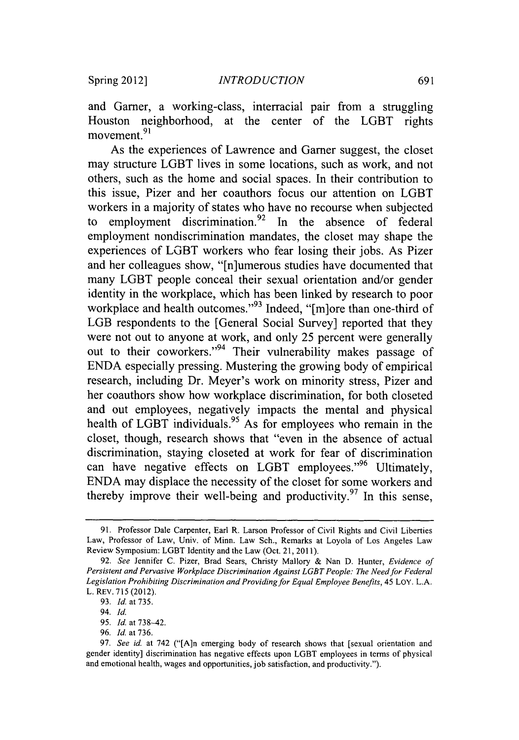and Garner, a working-class, interracial pair from a struggling Houston neighborhood, at the center of the LGBT rights movement.<sup>91</sup>

As the experiences of Lawrence and Garner suggest, the closet may structure LGBT lives in some locations, such as work, and not others, such as the home and social spaces. In their contribution to this issue, Pizer and her coauthors focus our attention on LGBT workers in a majority of states who have no recourse when subjected to employment discrimination.<sup>92</sup> In the absence of federal employment nondiscrimination mandates, the closet may shape the experiences of LGBT workers who fear losing their jobs. As Pizer and her colleagues show, "[n]umerous studies have documented that many LGBT people conceal their sexual orientation and/or gender identity in the workplace, which has been linked **by** research to poor workplace and health outcomes."<sup>93</sup> Indeed, "[m]ore than one-third of LGB respondents to the [General Social Survey] reported that they were not out to anyone at work, and only **25** percent were generally out to their coworkers."<sup>94</sup> Their vulnerability makes passage of **ENDA** especially pressing. Mustering the growing body of empirical research, including Dr. Meyer's work on minority stress, Pizer and her coauthors show how workplace discrimination, for both closeted and out employees, negatively impacts the mental and physical health of LGBT individuals.<sup>95</sup> As for employees who remain in the closet, though, research shows that "even in the absence of actual discrimination, staying closeted at work for fear of discrimination can have negative effects on LGBT employees." $96$  Ultimately, **ENDA** may displace the necessity of the closet for some workers and thereby improve their well-being and productivity.<sup>97</sup> In this sense,

**<sup>91.</sup>** Professor Dale Carpenter, Earl R. Larson Professor of Civil Rights and Civil Liberties Law, Professor of Law, Univ. of Minn. Law Sch., Remarks at Loyola of Los Angeles Law Review Symposium: LGBT Identity and the Law (Oct. 21, **2011).**

*<sup>92.</sup> See* Jennifer **C,** Pizer, Brad Sears, Christy Mallory **&** Nan **D.** Hunter, *Evidence of Persistent and Pervasive Workplace Discrimination Against LGBT People: The Need for Federal* Legislation Prohibiting Discrimination and Providing for Equal Employee Benefits, 45 LOY. L.A. L. REV. **715** (2012).

**<sup>93.</sup>** *Id.* at **735.**

<sup>94.</sup> *Id.*

**<sup>95.</sup>** *Id.* at **738-42.**

**<sup>96.</sup>** *Id.* at **736.**

**<sup>97.</sup>** *See id.* at 742 ("[A]n emerging body of research shows that [sexual orientation and gender identity] discrimination has negative effects upon LGBT employees in terms of physical and emotional health, wages and opportunities, **job** satisfaction, and productivity.").